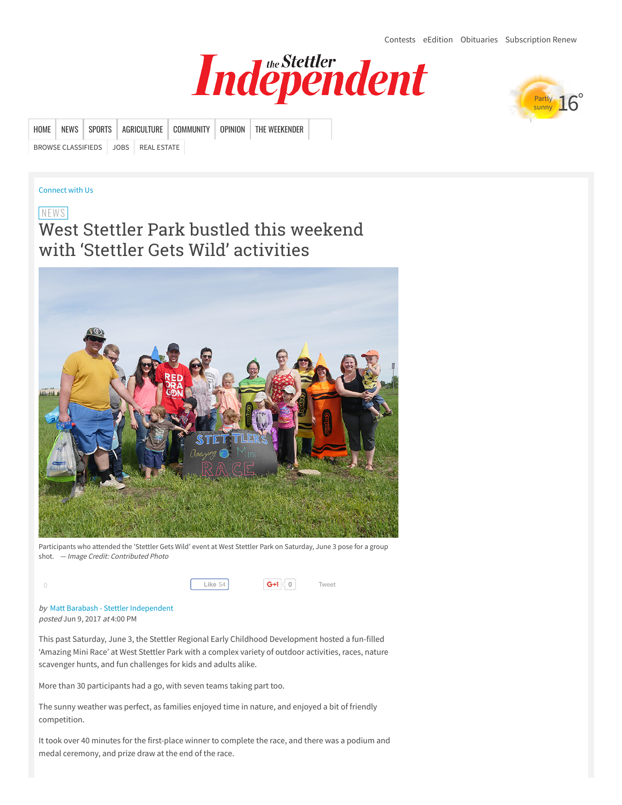



| <b>HOME</b>        | <b>NFWS</b> | SPORTS |      | AGRICULTURF        | COMMUNITY I | OPINION | THE WEEKENDER |  |
|--------------------|-------------|--------|------|--------------------|-------------|---------|---------------|--|
| BROWSE CLASSIFIEDS |             |        | JOBS | <b>REAL ESTATE</b> |             |         |               |  |

Connect with Us

[NEWS](http://www.stettlerindependent.com/news/)

## West Stettler Park bustled this weekend with 'Stettler Gets Wild' activities



Participants who attended the 'Stettler Gets Wild' event at West Stettler Park on Saturday, June 3 pose for a group shot. — Image Credit: Contributed Photo

**Like** 54

[0](#page-1-0) 0 [Tweet](https://twitter.com/intent/tweet?original_referer=http%3A%2F%2Fwww.stettlerindependent.com%2Fnews%2F427545853.html&ref_src=twsrc%5Etfw&text=Stettler%20Independent%20-%20West%20Stettler%20Park%20bustled%20this%20weekend%20with%20%E2%80%98Stettler%20Gets%20Wild%E2%80%99%20activities&tw_p=tweetbutton&url=http%3A%2F%2Fwww.stettlerindependent.com%2Fnews%2F427545853.html&via=BlackPressMedia)

by Matt Barabash - Stettler [Independent](http://www.stettlerindependent.com/staff_profiles/427545403.html)

posted Jun 9, 2017 at 4:00 PM

This past Saturday, June 3, the Stettler Regional Early Childhood Development hosted a fun-filled 'Amazing Mini Race' at West Stettler Park with a complex variety of outdoor activities, races, nature scavenger hunts, and fun challenges for kids and adults alike.

More than 30 participants had a go, with seven teams taking part too.

The sunny weather was perfect, as families enjoyed time in nature, and enjoyed a bit of friendly competition.

It took over 40 minutes for the first-place winner to complete the race, and there was a podium and medal ceremony, and prize draw at the end of the race.